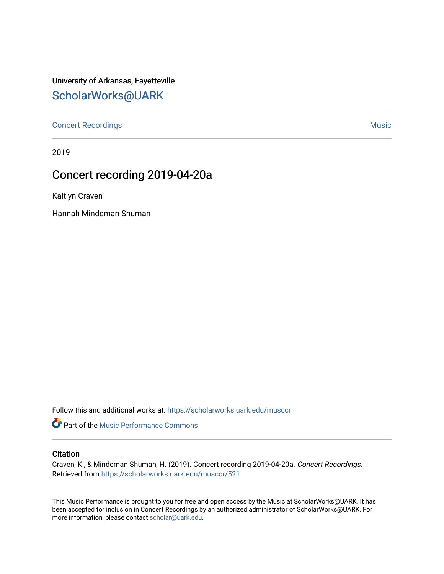University of Arkansas, Fayetteville [ScholarWorks@UARK](https://scholarworks.uark.edu/) 

[Concert Recordings](https://scholarworks.uark.edu/musccr) [Music](https://scholarworks.uark.edu/musc) Network and Security Assembly and Security Assembly Assembly Assembly Assembly Assembly

2019

## Concert recording 2019-04-20a

Kaitlyn Craven

Hannah Mindeman Shuman

Follow this and additional works at: [https://scholarworks.uark.edu/musccr](https://scholarworks.uark.edu/musccr?utm_source=scholarworks.uark.edu%2Fmusccr%2F521&utm_medium=PDF&utm_campaign=PDFCoverPages) 

**C** Part of the [Music Performance Commons](http://network.bepress.com/hgg/discipline/1128?utm_source=scholarworks.uark.edu%2Fmusccr%2F521&utm_medium=PDF&utm_campaign=PDFCoverPages)

## **Citation**

Craven, K., & Mindeman Shuman, H. (2019). Concert recording 2019-04-20a. Concert Recordings. Retrieved from [https://scholarworks.uark.edu/musccr/521](https://scholarworks.uark.edu/musccr/521?utm_source=scholarworks.uark.edu%2Fmusccr%2F521&utm_medium=PDF&utm_campaign=PDFCoverPages)

This Music Performance is brought to you for free and open access by the Music at ScholarWorks@UARK. It has been accepted for inclusion in Concert Recordings by an authorized administrator of ScholarWorks@UARK. For more information, please contact [scholar@uark.edu.](mailto:scholar@uark.edu)